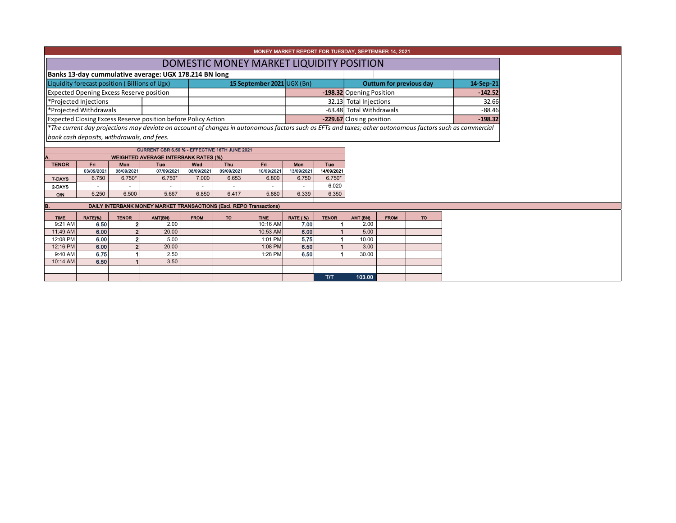| MONEY MARKET REPORT FOR TUESDAY, SEPTEMBER 14, 2021                 |                                               |                |                                                                                              |             |                            |                                          |                 |                                 |                          |                          |           |                                                                                                                                                          |  |
|---------------------------------------------------------------------|-----------------------------------------------|----------------|----------------------------------------------------------------------------------------------|-------------|----------------------------|------------------------------------------|-----------------|---------------------------------|--------------------------|--------------------------|-----------|----------------------------------------------------------------------------------------------------------------------------------------------------------|--|
|                                                                     |                                               |                |                                                                                              |             |                            |                                          |                 |                                 |                          |                          |           |                                                                                                                                                          |  |
|                                                                     |                                               |                |                                                                                              |             |                            | DOMESTIC MONEY MARKET LIQUIDITY POSITION |                 |                                 |                          |                          |           |                                                                                                                                                          |  |
|                                                                     |                                               |                | Banks 13-day cummulative average: UGX 178.214 BN long                                        |             |                            |                                          |                 |                                 |                          |                          |           |                                                                                                                                                          |  |
|                                                                     | Liquidity forecast position (Billions of Ugx) |                |                                                                                              |             | 15 September 2021 UGX (Bn) |                                          |                 | <b>Outturn for previous day</b> |                          |                          | 14-Sep-21 |                                                                                                                                                          |  |
| Expected Opening Excess Reserve position                            |                                               |                |                                                                                              |             |                            |                                          |                 |                                 | -198.32 Opening Position |                          |           | $-142.52$                                                                                                                                                |  |
| *Projected Injections                                               |                                               |                |                                                                                              |             |                            |                                          |                 |                                 | 32.13 Total Injections   |                          |           | 32.66                                                                                                                                                    |  |
| *Projected Withdrawals                                              |                                               |                |                                                                                              |             |                            |                                          |                 |                                 | -63.48 Total Withdrawals |                          |           | $-88.46$                                                                                                                                                 |  |
|                                                                     |                                               |                | Expected Closing Excess Reserve position before Policy Action                                |             |                            |                                          |                 |                                 |                          | -229.67 Closing position |           |                                                                                                                                                          |  |
|                                                                     |                                               |                |                                                                                              |             |                            |                                          |                 |                                 |                          |                          |           | *The current day projections may deviate on account of changes in autonomous factors such as EFTs and taxes; other autonomous factors such as commercial |  |
|                                                                     | bank cash deposits, withdrawals, and fees.    |                |                                                                                              |             |                            |                                          |                 |                                 |                          |                          |           |                                                                                                                                                          |  |
|                                                                     |                                               |                |                                                                                              |             |                            |                                          |                 |                                 |                          |                          |           |                                                                                                                                                          |  |
|                                                                     |                                               |                | CURRENT CBR 6.50 % - EFFECTIVE 16TH JUNE 2021<br><b>WEIGHTED AVERAGE INTERBANK RATES (%)</b> |             |                            |                                          |                 |                                 |                          |                          |           |                                                                                                                                                          |  |
| <b>TENOR</b>                                                        | Fri                                           | Mon            | Tue                                                                                          | Wod         | Thu                        | Fri                                      | Mon             | <b>Tue</b>                      |                          |                          |           |                                                                                                                                                          |  |
|                                                                     | 03/09/2021                                    | 06/09/2021     | 07/09/2021                                                                                   | 08/09/2021  | 09/09/2021                 | 10/09/2021                               | 13/09/2021      | 14/09/2021                      |                          |                          |           |                                                                                                                                                          |  |
| 7-DAYS                                                              | 6.750                                         | $6.750*$       | $6.750*$                                                                                     | 7.000       | 6.653                      | 6.800                                    | 6.750           | $6.750*$                        |                          |                          |           |                                                                                                                                                          |  |
| 2-DAYS                                                              |                                               |                |                                                                                              |             |                            |                                          |                 | 6.020                           |                          |                          |           |                                                                                                                                                          |  |
| <b>O/N</b>                                                          | 6.250                                         | 6.500          | 5.667                                                                                        | 6.850       | 6.417                      | 5.880                                    | 6.339           | 6.350                           |                          |                          |           |                                                                                                                                                          |  |
| DAILY INTERBANK MONEY MARKET TRANSACTIONS (Excl. REPO Transactions) |                                               |                |                                                                                              |             |                            |                                          |                 |                                 |                          |                          |           |                                                                                                                                                          |  |
| <b>TIME</b>                                                         | RATE(%)                                       | <b>TENOR</b>   | AMT(BN)                                                                                      | <b>FROM</b> | <b>TO</b>                  | <b>TIME</b>                              | <b>RATE (%)</b> | <b>TENOR</b>                    | AMT (BN)                 | <b>FROM</b>              | <b>TO</b> |                                                                                                                                                          |  |
| 9:21 AM                                                             | 6.50                                          | 2              | 2.00                                                                                         |             |                            | 10:16 AM                                 | 7.00            |                                 | 2.00                     |                          |           |                                                                                                                                                          |  |
| 11:49 AM                                                            | 6.00                                          | $\overline{2}$ | 20.00                                                                                        |             |                            | 10:53 AM                                 | 6.00            |                                 | 5.00                     |                          |           |                                                                                                                                                          |  |
| 12:08 PM                                                            | 6.00                                          | $\overline{2}$ | 5.00                                                                                         |             |                            | 1:01 PM                                  | 5.75            |                                 | 10.00                    |                          |           |                                                                                                                                                          |  |
| 12:16 PM                                                            | 6.00                                          | $\overline{2}$ | 20.00                                                                                        |             |                            | 1:08 PM                                  | 6.50            |                                 | 3.00                     |                          |           |                                                                                                                                                          |  |
| 9:40 AM                                                             | 6.75                                          |                | 2.50                                                                                         |             |                            | 1:28 PM                                  | 6.50            |                                 | 30.00                    |                          |           |                                                                                                                                                          |  |
| 10:14 AM                                                            | 6.50                                          |                | 3.50                                                                                         |             |                            |                                          |                 |                                 |                          |                          |           |                                                                                                                                                          |  |
|                                                                     |                                               |                |                                                                                              |             |                            |                                          |                 | T/T                             | 103.00                   |                          |           |                                                                                                                                                          |  |
|                                                                     |                                               |                |                                                                                              |             |                            |                                          |                 |                                 |                          |                          |           |                                                                                                                                                          |  |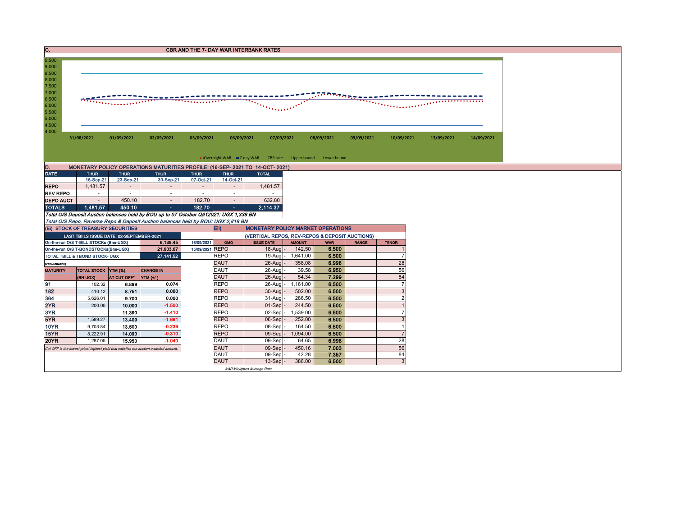| C.                                                                                  |                                      |                                   |                                                                                              |                               |                            | <b>CBR AND THE 7- DAY WAR INTERBANK RATES</b>                     |                                                |                     |                       |                |            |            |  |  |  |
|-------------------------------------------------------------------------------------|--------------------------------------|-----------------------------------|----------------------------------------------------------------------------------------------|-------------------------------|----------------------------|-------------------------------------------------------------------|------------------------------------------------|---------------------|-----------------------|----------------|------------|------------|--|--|--|
| 9.500                                                                               |                                      |                                   |                                                                                              |                               |                            |                                                                   |                                                |                     |                       |                |            |            |  |  |  |
| 9.000<br>8.500                                                                      |                                      |                                   |                                                                                              |                               |                            |                                                                   |                                                |                     |                       |                |            |            |  |  |  |
| 8.000                                                                               |                                      |                                   |                                                                                              |                               |                            |                                                                   |                                                |                     |                       |                |            |            |  |  |  |
| 7.500                                                                               |                                      |                                   |                                                                                              |                               |                            |                                                                   |                                                |                     |                       |                |            |            |  |  |  |
| 7.000<br>6.500                                                                      |                                      |                                   |                                                                                              |                               |                            |                                                                   |                                                |                     | <u>ההשבע המערבת ה</u> |                |            |            |  |  |  |
| 6.000                                                                               |                                      |                                   |                                                                                              |                               | in a chuid an Ch           |                                                                   |                                                |                     |                       |                |            |            |  |  |  |
| 5.500                                                                               |                                      |                                   |                                                                                              |                               |                            |                                                                   |                                                |                     |                       |                |            |            |  |  |  |
| 5.000                                                                               |                                      |                                   |                                                                                              |                               |                            |                                                                   |                                                |                     |                       |                |            |            |  |  |  |
| 4.500<br>4.000                                                                      |                                      |                                   |                                                                                              |                               |                            |                                                                   |                                                |                     |                       |                |            |            |  |  |  |
|                                                                                     | 31/08/2021                           | 01/09/2021                        | 02/09/2021                                                                                   | 03/09/2021                    | 06/09/2021                 | 07/09/2021                                                        |                                                | 08/09/2021          | 09/09/2021            | 10/09/2021     | 13/09/2021 | 14/09/2021 |  |  |  |
|                                                                                     |                                      |                                   |                                                                                              |                               |                            |                                                                   |                                                |                     |                       |                |            |            |  |  |  |
|                                                                                     |                                      |                                   |                                                                                              |                               |                            |                                                                   |                                                |                     |                       |                |            |            |  |  |  |
|                                                                                     |                                      |                                   |                                                                                              |                               |                            | • Overnight WAR -7-day WAR - CBR rate - Upper bound - Lower bound |                                                |                     |                       |                |            |            |  |  |  |
| D.<br><b>DATE</b>                                                                   | <b>THUR</b>                          | <b>THUR</b>                       | MONETARY POLICY OPERATIONS MATURITIES PROFILE: (16-SEP- 2021 TO 14-OCT- 2021)<br><b>THUR</b> | <b>THUR</b>                   | <b>THUR</b>                | <b>TOTAL</b>                                                      |                                                |                     |                       |                |            |            |  |  |  |
|                                                                                     | 16-Sep-21                            | 23-Sep-21                         | 30-Sep-21                                                                                    | 07-Oct-21                     | 14-Oct-21                  |                                                                   |                                                |                     |                       |                |            |            |  |  |  |
| <b>REPO</b>                                                                         | 1,481.57                             | $\sim$                            |                                                                                              | $\sim$                        | $\blacksquare$             | 1,481.57                                                          |                                                |                     |                       |                |            |            |  |  |  |
| <b>REV REPO</b>                                                                     | $\sim$                               | $\sim$                            | $\sim$                                                                                       | $\sim$                        | $\sim$                     |                                                                   |                                                |                     |                       |                |            |            |  |  |  |
| <b>DEPO AUCT</b>                                                                    | $\overline{\phantom{a}}$             | 450.10                            | $\sim$                                                                                       | 182.70                        | $\sim$                     | 632.80                                                            |                                                |                     |                       |                |            |            |  |  |  |
| <b>TOTALS</b>                                                                       | 1.481.57                             | 450.10                            | $\mathbf{m} = 0$                                                                             | 182.70                        | ÷.                         | 2.114.37                                                          |                                                |                     |                       |                |            |            |  |  |  |
|                                                                                     |                                      |                                   | Total O/S Deposit Auction balances held by BOU up to 07 October Q912021: UGX 1,336 BN        |                               |                            |                                                                   |                                                |                     |                       |                |            |            |  |  |  |
|                                                                                     |                                      |                                   | Total O/S Repo, Reverse Repo & Deposit Auction balances held by BOU: UGX 2,818 BN            |                               |                            | <b>MONETARY POLICY MARKET OPERATIONS</b><br>Eii)                  |                                                |                     |                       |                |            |            |  |  |  |
|                                                                                     |                                      | (EI) STOCK OF TREASURY SECURITIES |                                                                                              |                               |                            |                                                                   | (VERTICAL REPOS, REV-REPOS & DEPOSIT AUCTIONS) |                     |                       |                |            |            |  |  |  |
| LAST TBIILS ISSUE DATE: 02-SEPTEMBER-2021<br>On-the-run O/S T-BILL STOCKs (Bns-UGX) |                                      |                                   |                                                                                              |                               |                            |                                                                   |                                                |                     |                       |                |            |            |  |  |  |
|                                                                                     |                                      |                                   |                                                                                              |                               |                            |                                                                   |                                                |                     |                       |                |            |            |  |  |  |
|                                                                                     | On-the-run O/S T-BONDSTOCKs(Bns-UGX) |                                   | 6,138.45<br>21,003.07                                                                        | 15/09/2021<br>15/09/2021 REPO | OMO                        | <b>ISSUE DATE</b><br>$18-Auq$                                     | <b>AMOUNT</b><br>142.50                        | <b>WAR</b><br>6.500 | <b>RANGE</b>          | <b>TENOR</b>   |            |            |  |  |  |
|                                                                                     | TOTAL TBILL & TBOND STOCK- UGX       |                                   | 27, 141.52                                                                                   |                               | <b>REPO</b>                | 19-Aug                                                            | 1,641.00                                       | 6.500               |                       | $\overline{7}$ |            |            |  |  |  |
| O/S=Outstanding                                                                     |                                      |                                   |                                                                                              |                               | <b>DAUT</b>                | 26-Aug                                                            | 358.08                                         | 6.998               |                       | 28             |            |            |  |  |  |
| <b>MATURITY</b>                                                                     | TOTAL STOCK YTM (%)                  |                                   | <b>CHANGE IN</b>                                                                             |                               | <b>DAUT</b>                | 26-Aug                                                            | 39.58                                          | 6.950               |                       | 56             |            |            |  |  |  |
|                                                                                     | (BN UGX)                             | AT CUT OFF*                       | <b>YTM</b> (+/-)                                                                             |                               | <b>DAUT</b>                | $26 - A u$                                                        | 54.34                                          | 7.299               |                       | 84             |            |            |  |  |  |
| 191                                                                                 | 102.32                               | 6.899                             | 0.074                                                                                        |                               | <b>REPO</b>                | 26-Aug                                                            | 1,161.00                                       | 6.500               |                       | $\overline{7}$ |            |            |  |  |  |
| 182                                                                                 | 410.12                               | 8.751                             | 0.000                                                                                        |                               | <b>REPO</b>                | $30 - A u$                                                        | 502.00                                         | 6.500               |                       | 3              |            |            |  |  |  |
| 364                                                                                 | 5,626.01                             | 9.700                             | 0.000                                                                                        |                               | <b>REPO</b>                | 31-Aug                                                            | 286.50                                         | 6.500               |                       | $\overline{2}$ |            |            |  |  |  |
| 2YR<br>3YR                                                                          | 200.00<br>$\sim$                     | 10.000<br>11.390                  | $-1.500$<br>$-1.410$                                                                         |                               | <b>REPO</b><br><b>REPO</b> | 01-Sep<br>02-Sep                                                  | 244.50<br>1,539.00                             | 6.500<br>6.500      |                       | $\overline{7}$ |            |            |  |  |  |
| 5YR                                                                                 | 1,589.27                             | 13.409                            | $-1.691$                                                                                     |                               | <b>REPO</b>                | 06-Sep                                                            | 252.00                                         | 6.500               |                       | 3              |            |            |  |  |  |
| <b>10YR</b>                                                                         | 9,703.84                             | 13.500                            | $-0.239$                                                                                     |                               | <b>REPO</b>                | 08-Sep                                                            | 164.50                                         | 6.500               |                       | $\overline{1}$ |            |            |  |  |  |
| 15YR                                                                                | 8,222.91                             | 14.090                            | $-0.310$                                                                                     |                               | <b>REPO</b>                | 09-Sep                                                            | 1,094.00                                       | 6.500               |                       | $\overline{7}$ |            |            |  |  |  |
| <b>20YR</b>                                                                         | 1.287.05                             | 15.950                            | $-1.040$                                                                                     |                               | <b>DAUT</b>                | 09-Sep                                                            | 64.65                                          | 6.998               |                       | 28             |            |            |  |  |  |
|                                                                                     |                                      |                                   | Cut OFF is the lowest price/ highest yield that satisfies the auction awarded amount.        |                               | <b>DAUT</b>                | 09-Sep                                                            | 450.16                                         | 7.003               |                       | 56             |            |            |  |  |  |
|                                                                                     |                                      |                                   |                                                                                              |                               | <b>DAUT</b><br><b>DAUT</b> | 09-Sep<br>$13-Sep$                                                | 42.28<br>386.00                                | 7.357<br>6.500      |                       | 84<br>3        |            |            |  |  |  |